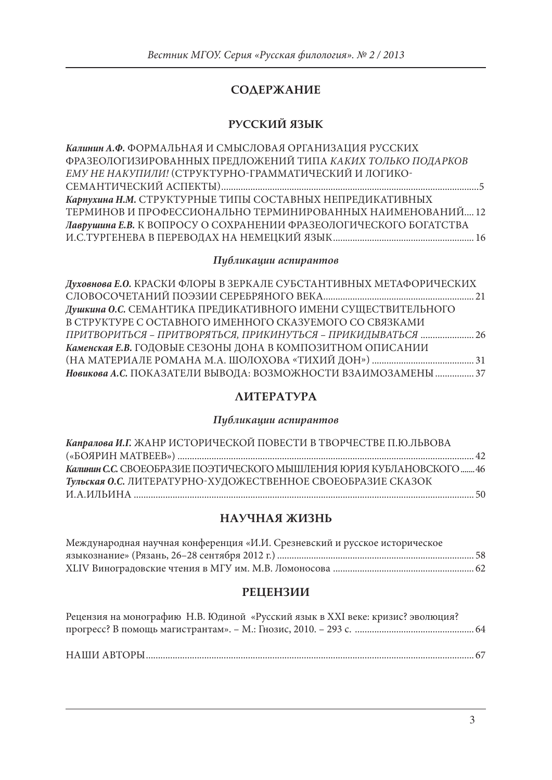# **СОДЕРЖАНИЕ**

## **РУССКИЙ ЯЗЫК**

| Калинин А.Ф. ФОРМАЛЬНАЯ И СМЫСЛОВАЯ ОРГАНИЗАЦИЯ РУССКИХ           |  |
|-------------------------------------------------------------------|--|
| ФРАЗЕОЛОГИЗИРОВАННЫХ ПРЕДЛОЖЕНИЙ ТИПА КАКИХ ТОЛЬКО ПОДАРКОВ       |  |
| ЕМУ НЕ НАКУПИЛИ! (СТРУКТУРНО-ГРАММАТИЧЕСКИЙ И ЛОГИКО-             |  |
|                                                                   |  |
| Карпухина Н.М. СТРУКТУРНЫЕ ТИПЫ СОСТАВНЫХ НЕПРЕДИКАТИВНЫХ         |  |
| ТЕРМИНОВ И ПРОФЕССИОНАЛЬНО ТЕРМИНИРОВАННЫХ НАИМЕНОВАНИЙ12         |  |
| Лаврушина Е.В. К ВОПРОСУ О СОХРАНЕНИИ ФРАЗЕОЛОГИЧЕСКОГО БОГАТСТВА |  |
|                                                                   |  |

### *Публикации аспирантов*

| Духовнова Е.О. КРАСКИ ФЛОРЫ В ЗЕРКАЛЕ СУБСТАНТИВНЫХ МЕТАФОРИЧЕСКИХ |  |
|--------------------------------------------------------------------|--|
|                                                                    |  |
| Душкина О.С. СЕМАНТИКА ПРЕДИКАТИВНОГО ИМЕНИ СУЩЕСТВИТЕЛЬНОГО       |  |
| В СТРУКТУРЕ С ОСТАВНОГО ИМЕННОГО СКАЗУЕМОГО СО СВЯЗКАМИ            |  |
| ПРИТВОРИТЬСЯ - ПРИТВОРЯТЬСЯ, ПРИКИНУТЬСЯ - ПРИКИДЫВАТЬСЯ  26       |  |
| Каменская Е.В. ГОДОВЫЕ СЕЗОНЫ ДОНА В КОМПОЗИТНОМ ОПИСАНИИ          |  |
|                                                                    |  |
| Новикова А.С. ПОКАЗАТЕЛИ ВЫВОДА: ВОЗМОЖНОСТИ ВЗАИМОЗАМЕНЫ  37      |  |
|                                                                    |  |

### **ЛИТЕРАТУРА**

#### *Публикации аспирантов*

| Капралова И.Г. ЖАНР ИСТОРИЧЕСКОЙ ПОВЕСТИ В ТВОРЧЕСТВЕ П.Ю.ЛЬВОВА      |  |
|-----------------------------------------------------------------------|--|
|                                                                       |  |
| Калинин С.С. СВОЕОБРАЗИЕ ПОЭТИЧЕСКОГО МЫШЛЕНИЯ ЮРИЯ КУБЛАНОВСКОГО  46 |  |
| Тульская О.С. ЛИТЕРАТУРНО-ХУДОЖЕСТВЕННОЕ СВОЕОБРАЗИЕ СКАЗОК           |  |
|                                                                       |  |

#### **НАУЧНАЯ ЖИЗНЬ**

| Международная научная конференция «И.И. Срезневский и русское историческое |  |
|----------------------------------------------------------------------------|--|
|                                                                            |  |
|                                                                            |  |

## **РЕЦЕНЗИИ**

| Рецензия на монографию Н.В. Юдиной «Русский язык в XXI веке: кризис? эволюция? |  |
|--------------------------------------------------------------------------------|--|
|                                                                                |  |
|                                                                                |  |
|                                                                                |  |